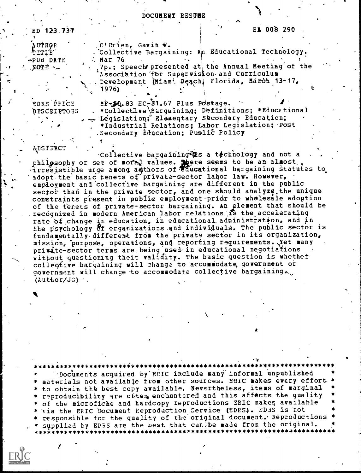DOCUMENT RESUME

| ED 123.737         |                                              |                                  |                                                     | EA 008 290. |  |
|--------------------|----------------------------------------------|----------------------------------|-----------------------------------------------------|-------------|--|
|                    |                                              |                                  |                                                     |             |  |
| AUTHOR             |                                              | , O'Brien, Gavin W.              |                                                     |             |  |
| TITLE              |                                              |                                  | . Collective Bargaining: An Educational Technology. |             |  |
| -PUB DATE          | $\therefore$ Mar 76                          |                                  |                                                     |             |  |
| NOTE               |                                              |                                  | 7p.; Speech presented at the Annual Meeting of the  |             |  |
|                    |                                              |                                  | Association for Supervision and Curriculum          |             |  |
|                    |                                              |                                  | Development (Miami Beach, Florida, March 13-17,     |             |  |
|                    | 1976)                                        |                                  |                                                     |             |  |
|                    |                                              |                                  |                                                     |             |  |
| EDRS PPICE         |                                              | MF-50.83 HC-\$1.67 Plus Postage. |                                                     |             |  |
| <b>DESCRIPTOES</b> |                                              |                                  | *Collective Bargaining; Definitions; *Educational   |             |  |
|                    | Legislation; Elementary Secondary Education; |                                  |                                                     |             |  |
|                    |                                              |                                  | *Industrial Relations; Labor Legislation; Post      |             |  |

Secondary Education; Public Policy

**ABSTFACT** 

collective bargaining ts a technology and not a philosophy or set of moral values. There seems to be an almost.<br>irresistible urge among authors of educational bargaining statutes to adopt the basic tenets of private-sector labor law. However, employment and collective bargaining are different in the public sector than in the private sector, and one should analyze, the unique constraints present in public employment pridr to wholesale adoption of the tenets of private-sector bargaining. An element that should be recognized in modern American labor relations is the accelerating rate of change in education, in educational administration, and in the psychology of organizations and individuals. The public sector is fundamentally different from the private sector in its organization, mission, purpose, operations, and reporting requirements. Yet many private-sector terms are being used in educational negotiations without questioning their validity. The basic question is whether collective bargaining will change to accommodate government or government will change to accommodate collective bargaining.  $(Author/JG)$ .

Documents acquired by ERIC include many informal unpublished materials not available from other sources. ERIC makes every effort<br>to obtain the best copy available. Nevertheless, items of marginal reproducibility are often encountered and this affects the quality of the microfiche and hardcopy reproductions ERIC makes available \* 'via the ERIC Document Reproduction Service (EDRS). EDRS is not responsible for the quality of the original document. Reproductions supplied by EDRS are the best that can be made from the original.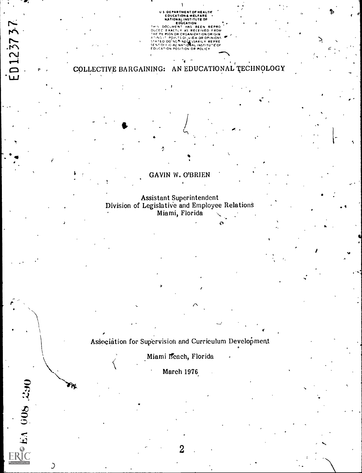US DEPARTMENT OF HEALTH<br>
EDUCATION & WELFARE<br>
NATIONAL INSTITUTE OF<br>
NATIONAL INSTITUTE OF<br>
THIS DOCUMENT HAS BEEN REPRO<br>
DUCE EXACTLY AS RECEIVED FROM<br>THE PERSON OR ORGANIZATION ORIGIN<br>
THE PERSON OR ORGANIZATION ORIGINAL EDUCATION POSITION OR POLICY

 $\frac{1}{2}$  ,  $\frac{1}{2}$ 

# COLLECTIVE BARGAINING: AN EDUCATIONAL TECHNOLOGY

 $\blacksquare$ 

ED 123737

ERIC 1.1 008 230

 $\mathcal{I}$ 

 $\mathbf{r}$  ,  $\mathbf{r}$ 

GAVIN W. O'BRIEN

tter and a series

 $f = \frac{1}{2}$ 

Assistant Superintendent Division of Legislative and Employee Relations Miami, Florida

Association for Supervision and Curriculum Development

Miami Beach, Florida

March 1976

2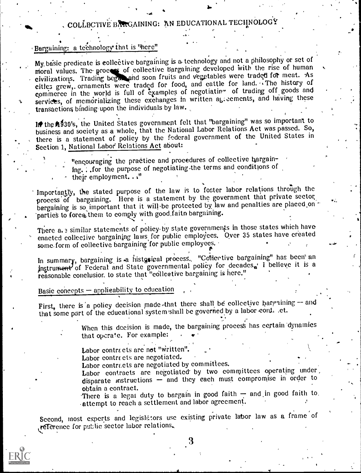# COLLECTIVE BARGAINING: AN EDUCATIONAL TECHNOLOGY

## Bargaining: a technology that is "here"

My basic predicate is collective bargaining is a technology and not a philosophy or set of moral values. The process of collective bargaining developed with the rise of human civilizations. Trading began and soon fruits and vegetables were traded for meat. As cities grew, ornaments were traded for food, and eattle for land. The history of commerce in the world is full of examples of negotiating of trading off goods and services, of memorializing these exchanges in written agreements, and having these transactions binding upon the individuals by law.

In the 1930's, the United States government felt that "bargaining" was so important to business and society as a whole, that the National Labor Relations Act was passed. So, there is a statement of policy by the federal government of the United States in Section 1. National Labor Relations Act about:

> "encouraging the practice and procedures of collective bargaining. . . for the purpose of negotiating the terms and conditions of their employment.  $\cdots$ "

Importantly, the stated purpose of the law is to foster labor relations through the process of bargaining. Here is a statement by the government that private sector bargaining is so important that it will be protected by law and penalties are placed on parties to force them to comply with good faith bargaining.

There a. 3 similar statements of policy by state governments in those states which have enacted collective bargaining laws for public employees. Over 35 states have created some form of collective bargaining for public employees.

In summary, bargaining is a histosical process. "Collective bargaining" has been an instrument of Federal and State governmental policy for decades, I believe it is a reasonable conclusion to state that "collective bargaining is here."

Basic concepts - applicability to education

First, there is a policy decision made that there shall be collective bargaining - and that some part of the educational system shall be governed by a labor cont. .et.

> When this decision is made, the bargaining process has certain dynamics that operate. For example:

Labor contracts are not "written".

Labor contracts are negotiated.

Labor contracts are negotiated by committees.

Labor contracts are negotiated by two committees operating under disparate instructions - and they each must compromise in order to obtain a contract.

There is a legat duty to bargain in good faith - and in good faith to. attempt to reach a settlement and labor agreement.

Second, most experts and legislators use existing private labor law as a frame of reference for public sector labor relations.

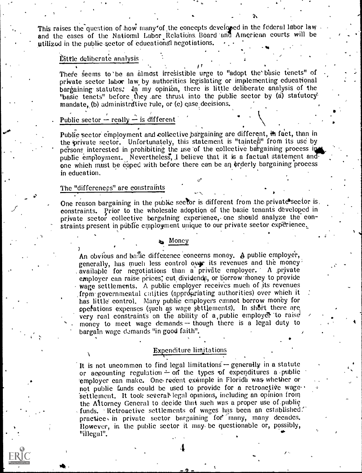This raises the question of how many of the concepts developed in the federal labor law and the cases of the National Labor Relations. Board and American courts will be ptilizod in the public sector of educational negotiations.

### Little deliberate analysis

There seems to be an almost irresistible urge to "adopt the basic tenets" of private sector labor law, by authorities legislating or implementing educational bargaining statutes. In my opinion, there is little deliberate analysis of the "basic tenets" before they .are thrust into the public sector by (a) statutory' mandate, (b) administrative rule, or (c) case decisions.

## Public sector  $-$  really  $-$  is different

Public sector employment and collective bargaining are different, in fact, than in the private sector. Unfortunately, this statement is "tainted" from its use by persons interested in prohibiting the use of the collective bargaining process in public employment. Nevertheless, I believe that it is a factual statement and one which must be coped with before there can be an orderly bargaining process in education,

#### The "differences" are constraints

One reason bargaining in the public sector is different from the private sector is, constraints. Prior to the wholesale adoption of the basic tenants developed in private sector collective bargaining experience, one should analyze the constraints present in public employment unique to our private sector experience.

#### Money

An obvious and basic difference concerns money.  $\phi$  public employer, generally, has much less control over its revenues and the money available for negotiations than a private employer. A private employer can raise prices; cut dividends, or borrow money to provide wage settlements. A public employer receives much of its revenues from governmental chilities (appropriating authorities) over which it has little control. Many public employers cannot borrow money for pperations expenses (such as wage settlements). In short there are very real constraints on the ability of a public employer to raise money to meet wage demands  $-$  though there is a legal duty to bargain wage demands "in good faith".

## Expenditure limitations

It is not uncommon to find legal limitations - generally in a statute or accounting regulation  $\div$  on the types of expenditures a public 'employer can make. One recent example in Florida was. whether or not public funds could be used to provide for a retroactive wagesettlement. It took several legal opinions, including an opinion from the Attorney General to decide that such was a proper use of.public  $\epsilon$  funds. Retroactive settlements of wages has been an established. practice, in private sector bargaining for many, many decades. However, in the public sector it may. be questionable or, possibly, "illegal".

or.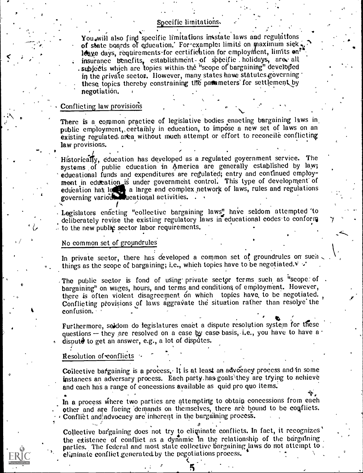## Specific limitations.

You, will also find specific limitations in state laws and regulations of state boards of education.' For example: limits on maximum sick leave days, requirements for certification for employment, limits on<sup>t</sup> insurance benefits, establishment- of specific holidays, are all subjects which are topics within the "scope of bargaining" developed in the private sector. However, many states have statutes governing these topics thereby constraining the pattemeters' for settlement by negotiation.

### Conflicting law provisions

There is a common practice of legislative bodies enacting bargaining laws in public employment, certainly in education, to impose a new set of laws on an existing regulated area without much attempt or effort to reconcile conflicting law provisions.

Historically, education has developed as a regulated government service. The systems of public education in America are generally established by law; educational funds and expenditures are regulated; entry and continued employment in education is under government control. This type of development of education has let a large and complex network of laws, rules and regulations governing various ucational activities.

Legislators enacting "collective bargaining laws" have seldom attempted 'to deliberately revise the existing regulatory laws in educational codes to conform  $\therefore$  to the new public sector labor requirements.

#### No common set of groundrules

In private sector, there has developed a common set of groundrules on such things as the scope of bargaining; i.e., which topics have to be negotiated. $\forall$   $\cdot$ 

The public sector is fond of using private sector terms such as "scope of .<br>bargaining" on wages, hours, and terms and conditions of employment. However, there is often violent disagreement on which topics have to be negotiated. Conflicting provisions of laws aggravate the situation rather than resolye the confusion.  $\epsilon$ 

Furthermore, seldom do legislatures enaet a dispute resolution system for these questions  $-$  they are resolved on a case by case basis, i.e., you have to have a disput $\ddot{\theta}$  to get an answer, e.g., a lot of disputes.

#### Resolution of-conflicts

Collective bargaining is a process. It is at least an advocacy process and in some instances an adversary process. Each party.hasgoals\they are trying to achieve and each has a range of concessions available as quid pro quo items.

In a process where two parties are attempting to obtain concessions from each other and are facing 'demands on themselves, there are bound to be conflicts, Conflict and advocaey are inherent in the bargaining process.

 $\mathcal{B}$  ,  $\mathcal{A}$  ,  $\mathcal{A}$ Collective bargaining does not try to climinate conflicts. In fact, it recognizes the existence of conflict as a dynamic in the relationship of the bargaining parties. The federal and most state collective bargaining laws do not attempt to. eliminate conflict generated by the negotiations process.

5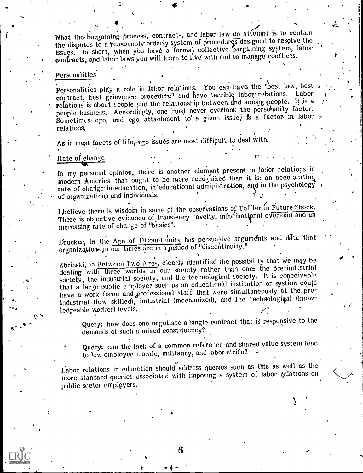What the bargaining process, contracts, and labor law do attempt is to contain the disputes to a reasonably orderly system of procedures designed to resolve the issues. In short, when you have a formal collective bargaining system, labor contracts, and labor laws you will learn to live with and to manage conflicts.

### Personalities

Personalities play a role in labor relations. You can have the "best law, best contract, best grievance procedure" and have terrible labor relations. Labor relations is about people and the relationship between and among people. It is a people business. Accordingly, one must never overlook the personality factor. Sometimes ego, and ego attachment to a given issue, is a factor in labor y relations.

As in most facets of life, ego issues are most difficult to deal with.

## Rate of change

In my personal opinion, there is another element present in labor relations in modern America that ought to be more recognized than it is: an accelerating rate of change in education, in educational administration, and in the psychology of organizations and individuals.

I believe there is wisdom in some of the observations of Toffler in Future Shock. There is objective evidence of transiency novelty, informational overload and an increasing rate of change of "basics".

Drucker, in the Age of Discontinuity has persuasive arguments and data that organizations in our times are in a period of "discontinuity."

Zbrinski, in Between Two Ages, clearly identified the possibility that we may be dealing with three worlds in our society rather than one: the pre-industrial society, the industrial society, and the technological society. It is conceivable that a large public employer such as an educational institution or system could have a work force and professional staff that were simultaneously at the preindustrial (low skilled), industrial (mechanized), and the technological (knowledgeable worker) levels.

Query: how does one negotiate a single contract that is responsive to the demands of such a mixed constituency?

Query: can the lack of a common reference and shared value system lead to low employee morale, militancy, and labor strife?

Labor relations in education should address queries such as this as well as the more standard queries associated with imposing a system of labor relations on public sector employers.

6